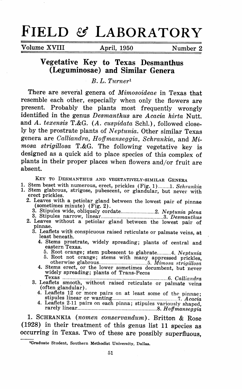# **FIELD & LABORATORY**

Volume XVIII April, 1950 Number 2

## **Vegetative Key to Texas Desmanthus (Leguminosae) and Similar Genera**

*B. L. Turner <sup>1</sup>*

There are several genera of *Mimosoideae* in Texas that resemble each other, especially when only the flowers are present. Probably the plants most frequently wrongly identified in the genus *Desmanthus* are *Acacia hirta* Nutt. and *A. texensis* T.&G. *(A. cuspidata* Sehl.), followed closely by the prostrate plants of *Neptunia*. Other similar Texas genera are *Calliandra, Hoffmanseggia, Schrankia,* and *Mimosa strigillosa* T.&G. The following vegetative key is designed as a quick aid to place species of this complex of <sup>p</sup>lants in their proper places when flowers and/or fruit are absent.

- KEY TO DESMANTHUS AND VEGETATIVELY-SIMILAR GENERA<br>1. Stem beset with numerous, erect, prickles (Fig. 1)........1. Schrankia
- 
- 1. Stem glabrous, strigose, pubescent, or glandular, but never with erect prickles.<br>2. Leaves with a petiolar gland between the lowest pair of pinnae 2. Leaves with a petiolar gland between the lowest pair of pinnae (sometimes minute) (Fig. 2).
	- 3. Stipules wide, obliquely cordate ........................ 2. *Neptunia plena* 3. Stipules narrow, linear ............................................ 3. *Desmanthus*
	- 2. Leaves without a petiolar gland between the lowest pair of pinnae.
		- 3. Leaflets witli conspicuous raised reticulate or palmate veins, **at**  least beneath.
			- **4.** Stems prostrate, widely spreading; plants of central and eastern Texas.
				-
			- 5. Root orange; stem pubescent to glabrate ......... .4. *Neptunia* 5. Root not orange; stems with many appressed prickles, otherwise glabrous .................................. 5. *Mimosa .~tri,qillosa* 4. Stems erect, or the lower sometimes decumbent, but never widely spreading; plants of Trans-Pecos
		- Texas .......................................................................... 6. *Calliandra* 3. Leaflets smooth, without raised reticulate or palmate veins ( often glandular) .
			- 4. Leaflets 12 or more pairs on at least some of the pinnae; stipules linear or wanting .............................................. 7. *Acacia* 4. Leaflets 2.11 pairs on each pinna; stipules variously shaped, rarely linear ........................................................ 8. *Hofjmanseggia*
			-

1. SCHRANKIA *(nomen conservandum).* Britton & Rose (1928) in their treatment of this genus list 11 species as occurring in Texas. Two of these are possibly superfluous,

<sup>1</sup>Graduate Student, Southern Methodist University, Dallas.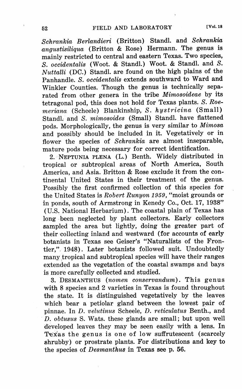$Schrankia$  *Berlandieri* (Britton) Standl. and *Schrankia angustisiliqua* (Britton & Rose) Hermann. The genus is mainly restricted to central and eastern Texas. Two species, *S. occidentalis* (Woot. & Standl.) Woot. & Standl. and *S. Nuttalli* (DC.) Standl. are found on the high plains of the Panhandle. *S. occidentalis* extends southward to Ward and Winkler Counties. Though the genus is technically separated from other genera in the tribe *Mimosoideae* by its tetragonal pod, this does not hold for Texas plants. *S. Roemeriana* (Scheele) Blankinship, *S. hystricina* (Small) Standl. and *S. mimosoides* (Small) Standl. have flattened pods. Morphologically, the genus is very similar to *Mimosa*  and possibly should be included in it. Vegetatively or in flower the species of *Schrankia* are almost inseparable, mature pods being necessary for correct identification.

2. NEPTUNIA PLENA (L.) Benth. Widely distributed in tropical or subtropical areas of North America, South America, and Asia. Britton & Rose exclude it from the continental United States in their treatment of the genus. Possibly the first confirmed collection of this species for the United States is *Robert Runyon 1959,* "moist grounds or in ponds, south of Armstrong in Kenedy Co., Oct. 17, 1938" (U.S. National Herbarium). The coastal plain of Texas has long been neglected by plant collectors. Early collectors sampled the area but lightly, doing the greater part of their collecting inland and westward (for accounts of early botanists in Texas see Geiser's "Naturalists of the Frontier,". 1948). Later botanists followed suit. Undoubtedly many tropical and subtropical species will have their ranges extended as the vegetation of the coastal swamps and bays is more carefully collected and studied.

3. DESMANTHUS *(nomen conservandum).* This genus with 8 species and 2 varieties in Texas is found throughout the state. It is distinguished vegetatively by the leaves which bear a petiolar gland between the lowest pair of <sup>p</sup>innae. In *D. velutinus* Scheele, *D. reticulatus* Benth., and *D. obtusus* S. Wats. these glands are small; but upon well developed leaves they may be seen easily with a lens. In Texas the genus is one of low suffrutescent (scarcely shrubby) or prostrate plants. For distributions and key to the species of *Desmanthus* in Texas see p. 56.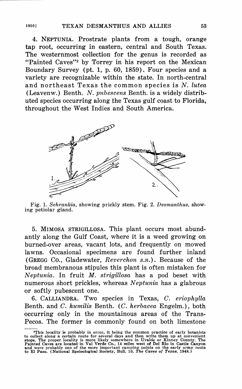4. NEPTUNIA. Prostrate plants from a tough, orange tap root, occurring in eastern, central and South Texas. The westernmost collection for the genus is recorded as "Painted Caves"<sup>2</sup> by Torrey in his report on the Mexican Boundary Survey (pt. 1, p. 60, 1859). Four species and a variety are recognizable within the state. In north-central and northeast Texas the common species is *N. lutea*  (Leavenw.) Benth. *N. pubescens* Benth. is a widely distributed species occurring along the Texas gulf coast to Florida, throughout the West Indies and South America.



Fig. 1. *Schrankia,* showing prickly stem. Fig. 2. *Desmanthus,* showing petiolar gland.

5. MIMOSA STRIGILL0SA. This plant occurs most abundantly along the Gulf Coast, where it is a weed growing on burned-over areas, vacant lots, and frequently on mowed lawns. Occasional specimens are found further inland (GREGG Co., Gladewater, *Reverchon s.n.).* Because of the broad membranous stipules this plant is often mistaken for *Neptunia.* In fruit *M. strigillosa* has a pod beset with numerous short prickles, whereas *Neptunia* has a glabrous or softly pubescent one.

6. CALLIANDRA. Two species in Texas, *C. eriophylla*  Benth. and *C. humilis* Benth. (C. *herbacea* Engelm.), both occurring only in the mountainous areas of the Trans-Pecos. The former is commonly found on both limestone

<sup>&#</sup>x27;This locality is probably in error, it being the common practice of early botanists to collect along a certain route for several days and then write them up at convenient<br>stops. The proper locality is more likely somewhere in Uvalde or Kinney County. The<br>Painted Caves are located in Val Verde Co., 14 mile